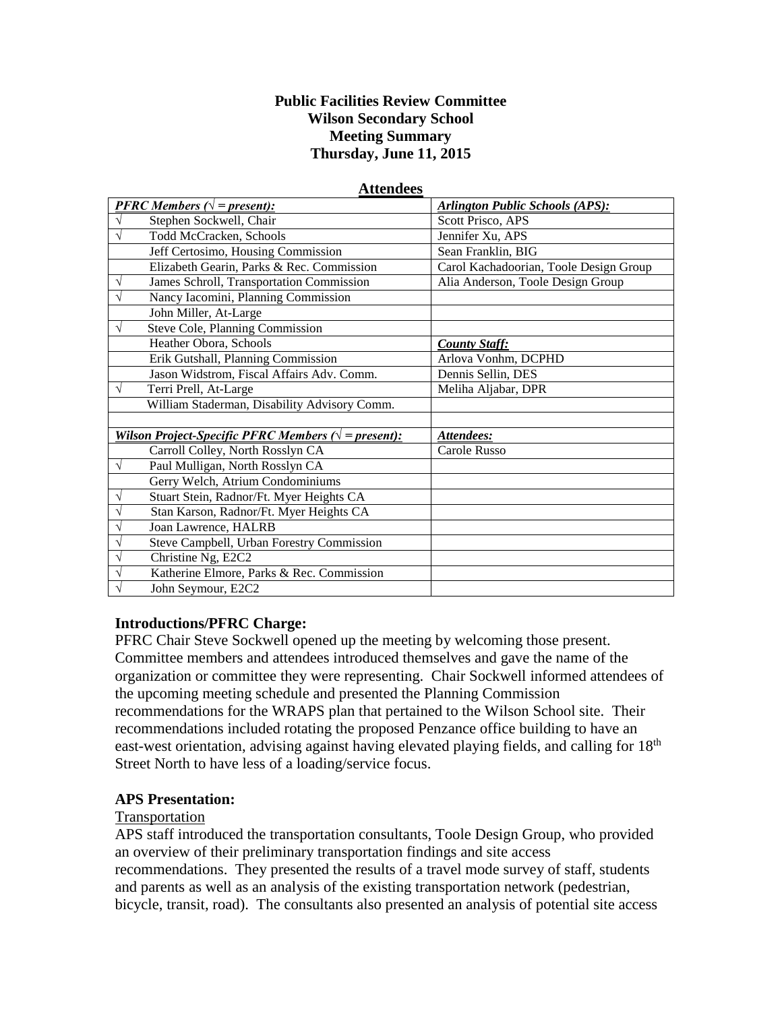#### **Public Facilities Review Committee Wilson Secondary School Meeting Summary Thursday, June 11, 2015**

**Attendees**

| Auchuccs                                                     |                                              |                                        |
|--------------------------------------------------------------|----------------------------------------------|----------------------------------------|
|                                                              | <b>PFRC</b> Members ( $\sqrt{}$ = present):  | <b>Arlington Public Schools (APS):</b> |
|                                                              | Stephen Sockwell, Chair                      | Scott Prisco, APS                      |
|                                                              | Todd McCracken, Schools                      | Jennifer Xu, APS                       |
|                                                              | Jeff Certosimo, Housing Commission           | Sean Franklin, BIG                     |
|                                                              | Elizabeth Gearin, Parks & Rec. Commission    | Carol Kachadoorian, Toole Design Group |
| V                                                            | James Schroll, Transportation Commission     | Alia Anderson, Toole Design Group      |
|                                                              | Nancy Iacomini, Planning Commission          |                                        |
|                                                              | John Miller, At-Large                        |                                        |
| V                                                            | Steve Cole, Planning Commission              |                                        |
|                                                              | Heather Obora, Schools                       | <b>County Staff:</b>                   |
|                                                              | Erik Gutshall, Planning Commission           | Arlova Vonhm, DCPHD                    |
|                                                              | Jason Widstrom, Fiscal Affairs Adv. Comm.    | Dennis Sellin, DES                     |
| V                                                            | Terri Prell, At-Large                        | Meliha Aljabar, DPR                    |
|                                                              | William Staderman, Disability Advisory Comm. |                                        |
|                                                              |                                              |                                        |
| Wilson Project-Specific PFRC Members ( $\sqrt{}$ = present): |                                              | Attendees:                             |
|                                                              | Carroll Colley, North Rosslyn CA             | Carole Russo                           |
| $\sqrt{}$                                                    | Paul Mulligan, North Rosslyn CA              |                                        |
|                                                              | Gerry Welch, Atrium Condominiums             |                                        |
| V                                                            | Stuart Stein, Radnor/Ft. Myer Heights CA     |                                        |
| V                                                            | Stan Karson, Radnor/Ft. Myer Heights CA      |                                        |
| V                                                            | Joan Lawrence, HALRB                         |                                        |
|                                                              | Steve Campbell, Urban Forestry Commission    |                                        |
|                                                              | Christine Ng, E2C2                           |                                        |
|                                                              | Katherine Elmore, Parks & Rec. Commission    |                                        |
|                                                              | John Seymour, E2C2                           |                                        |

# **Introductions/PFRC Charge:**

PFRC Chair Steve Sockwell opened up the meeting by welcoming those present. Committee members and attendees introduced themselves and gave the name of the organization or committee they were representing. Chair Sockwell informed attendees of the upcoming meeting schedule and presented the Planning Commission recommendations for the WRAPS plan that pertained to the Wilson School site. Their recommendations included rotating the proposed Penzance office building to have an east-west orientation, advising against having elevated playing fields, and calling for 18<sup>th</sup> Street North to have less of a loading/service focus.

#### **APS Presentation:**

#### Transportation

APS staff introduced the transportation consultants, Toole Design Group, who provided an overview of their preliminary transportation findings and site access recommendations. They presented the results of a travel mode survey of staff, students and parents as well as an analysis of the existing transportation network (pedestrian, bicycle, transit, road). The consultants also presented an analysis of potential site access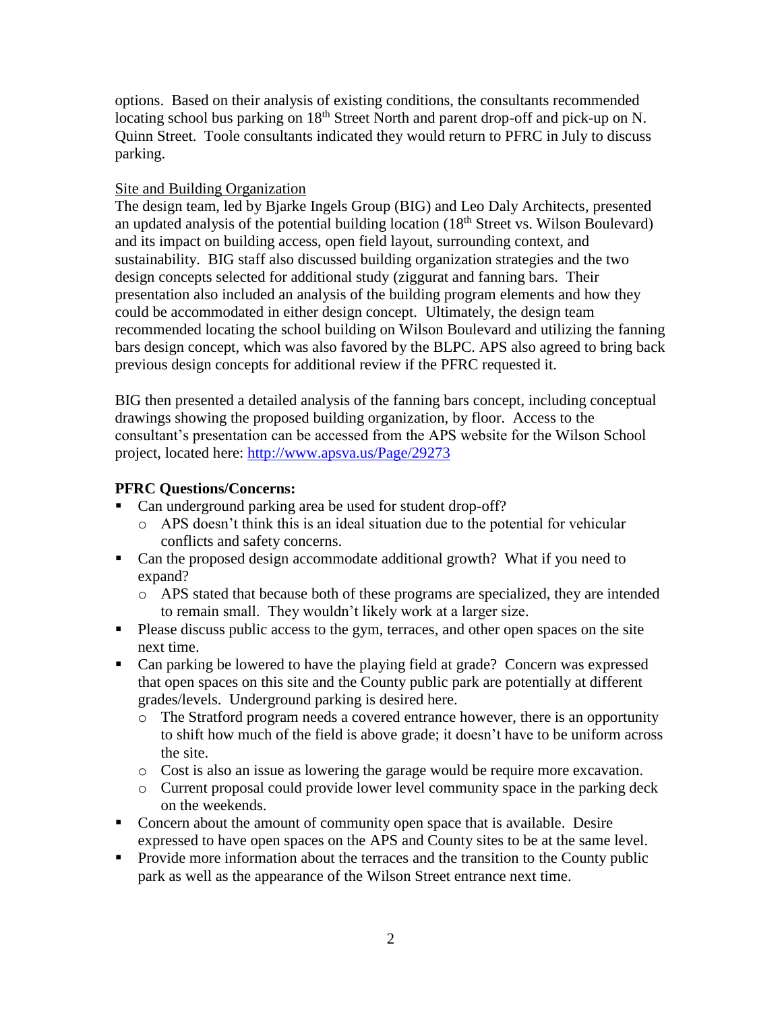options. Based on their analysis of existing conditions, the consultants recommended locating school bus parking on  $18<sup>th</sup>$  Street North and parent drop-off and pick-up on N. Quinn Street. Toole consultants indicated they would return to PFRC in July to discuss parking.

#### Site and Building Organization

The design team, led by Bjarke Ingels Group (BIG) and Leo Daly Architects, presented an updated analysis of the potential building location  $(18<sup>th</sup>$  Street vs. Wilson Boulevard) and its impact on building access, open field layout, surrounding context, and sustainability. BIG staff also discussed building organization strategies and the two design concepts selected for additional study (ziggurat and fanning bars. Their presentation also included an analysis of the building program elements and how they could be accommodated in either design concept. Ultimately, the design team recommended locating the school building on Wilson Boulevard and utilizing the fanning bars design concept, which was also favored by the BLPC. APS also agreed to bring back previous design concepts for additional review if the PFRC requested it.

BIG then presented a detailed analysis of the fanning bars concept, including conceptual drawings showing the proposed building organization, by floor. Access to the consultant's presentation can be accessed from the APS website for the Wilson School project, located here:<http://www.apsva.us/Page/29273>

### **PFRC Questions/Concerns:**

- Can underground parking area be used for student drop-off?
	- o APS doesn't think this is an ideal situation due to the potential for vehicular conflicts and safety concerns.
- Can the proposed design accommodate additional growth? What if you need to expand?
	- o APS stated that because both of these programs are specialized, they are intended to remain small. They wouldn't likely work at a larger size.
- **Please discuss public access to the gym, terraces, and other open spaces on the site** next time.
- Can parking be lowered to have the playing field at grade? Concern was expressed that open spaces on this site and the County public park are potentially at different grades/levels. Underground parking is desired here.
	- o The Stratford program needs a covered entrance however, there is an opportunity to shift how much of the field is above grade; it doesn't have to be uniform across the site.
	- o Cost is also an issue as lowering the garage would be require more excavation.
	- o Current proposal could provide lower level community space in the parking deck on the weekends.
- Concern about the amount of community open space that is available. Desire expressed to have open spaces on the APS and County sites to be at the same level.
- **Provide more information about the terraces and the transition to the County public** park as well as the appearance of the Wilson Street entrance next time.